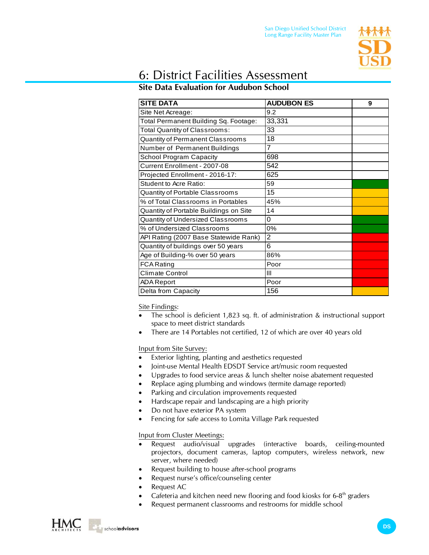

## 6: District Facilities Assessment

## **Site Data Evaluation for Audubon School**

| <b>SITE DATA</b>                       | <b>AUDUBON ES</b> | 9 |
|----------------------------------------|-------------------|---|
| Site Net Acreage:                      | 9.2               |   |
| Total Permanent Building Sq. Footage:  | 33,331            |   |
| Total Quantity of Classrooms:          | 33                |   |
| Quantity of Permanent Classrooms       | 18                |   |
| Number of Permanent Buildings          | 7                 |   |
| <b>School Program Capacity</b>         | 698               |   |
| Current Enrollment - 2007-08           | 542               |   |
| Projected Enrollment - 2016-17:        | 625               |   |
| Student to Acre Ratio:                 | 59                |   |
| Quantity of Portable Classrooms        | 15                |   |
| % of Total Classrooms in Portables     | 45%               |   |
| Quantity of Portable Buildings on Site | 14                |   |
| Quantity of Undersized Classrooms      | 0                 |   |
| % of Undersized Classrooms             | 0%                |   |
| API Rating (2007 Base Statewide Rank)  | $\overline{2}$    |   |
| Quantity of buildings over 50 years    | 6                 |   |
| Age of Building-% over 50 years        | 86%               |   |
| <b>FCA Rating</b>                      | Poor              |   |
| Climate Control                        | Ш                 |   |
| <b>ADA Report</b>                      | Poor              |   |
| Delta from Capacity                    | 156               |   |

Site Findings:

- The school is deficient 1,823 sq. ft. of administration & instructional support space to meet district standards
- There are 14 Portables not certified, 12 of which are over 40 years old

Input from Site Survey:

- Exterior lighting, planting and aesthetics requested
- Joint-use Mental Health EDSDT Service art/music room requested
- Upgrades to food service areas & lunch shelter noise abatement requested
- Replace aging plumbing and windows (termite damage reported)
- Parking and circulation improvements requested
- Hardscape repair and landscaping are a high priority
- Do not have exterior PA system
- Fencing for safe access to Lomita Village Park requested

Input from Cluster Meetings:

- Request audio/visual upgrades (interactive boards, ceiling-mounted projectors, document cameras, laptop computers, wireless network, new server, where needed)
- Request building to house after-school programs
- Request nurse's office/counseling center
- **Request AC**
- Cafeteria and kitchen need new flooring and food kiosks for  $6-8<sup>th</sup>$  graders
- Request permanent classrooms and restrooms for middle school